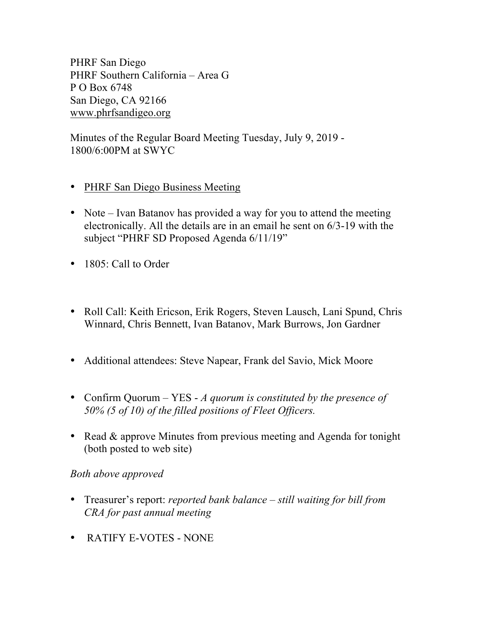PHRF San Diego PHRF Southern California – Area G P O Box 6748 San Diego, CA 92166 www.phrfsandigeo.org

Minutes of the Regular Board Meeting Tuesday, July 9, 2019 - 1800/6:00PM at SWYC

- PHRF San Diego Business Meeting
- Note Ivan Batanov has provided a way for you to attend the meeting electronically. All the details are in an email he sent on 6/3-19 with the subject "PHRF SD Proposed Agenda 6/11/19"
- 1805: Call to Order
- Roll Call: Keith Ericson, Erik Rogers, Steven Lausch, Lani Spund, Chris Winnard, Chris Bennett, Ivan Batanov, Mark Burrows, Jon Gardner
- Additional attendees: Steve Napear, Frank del Savio, Mick Moore
- Confirm Quorum YES *A quorum is constituted by the presence of 50% (5 of 10) of the filled positions of Fleet Officers.*
- Read & approve Minutes from previous meeting and Agenda for tonight (both posted to web site)

## *Both above approved*

- Treasurer's report: *reported bank balance – still waiting for bill from CRA for past annual meeting*
- RATIFY E-VOTES NONE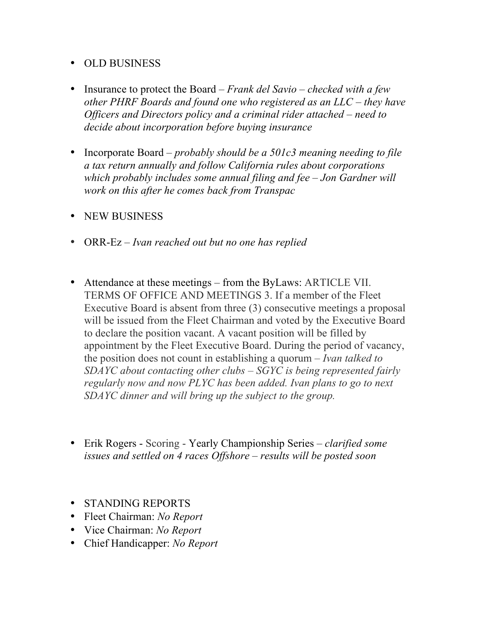## • OLD BUSINESS

- Insurance to protect the Board *– Frank del Savio – checked with a few other PHRF Boards and found one who registered as an LLC – they have Officers and Directors policy and a criminal rider attached – need to decide about incorporation before buying insurance*
- Incorporate Board *probably should be a 501c3 meaning needing to file a tax return annually and follow California rules about corporations which probably includes some annual filing and fee – Jon Gardner will work on this after he comes back from Transpac*
- NEW BUSINESS
- ORR-Ez *Ivan reached out but no one has replied*
- Attendance at these meetings from the ByLaws: ARTICLE VII. TERMS OF OFFICE AND MEETINGS 3. If a member of the Fleet Executive Board is absent from three (3) consecutive meetings a proposal will be issued from the Fleet Chairman and voted by the Executive Board to declare the position vacant. A vacant position will be filled by appointment by the Fleet Executive Board. During the period of vacancy, the position does not count in establishing a quorum – *Ivan talked to SDAYC about contacting other clubs – SGYC is being represented fairly regularly now and now PLYC has been added. Ivan plans to go to next SDAYC dinner and will bring up the subject to the group.*
- Erik Rogers Scoring Yearly Championship Series *clarified some issues and settled on 4 races Offshore – results will be posted soon*
- STANDING REPORTS
- Fleet Chairman: *No Report*
- Vice Chairman: *No Report*
- Chief Handicapper: *No Report*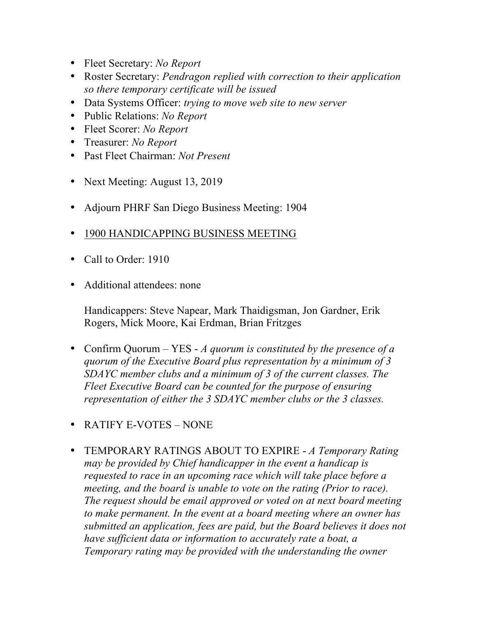- Fleet Secretary: *No Report*
- Roster Secretary: *Pendragon replied with correction to their application so there temporary certificate will be issued*
- Data Systems Officer: *trying to move web site to new server*
- Public Relations: *No Report*
- Fleet Scorer: *No Report*
- Treasurer: *No Report*
- Past Fleet Chairman: *Not Present*
- Next Meeting: August 13, 2019
- Adjourn PHRF San Diego Business Meeting: 1904
- 1900 HANDICAPPING BUSINESS MEETING
- Call to Order: 1910
- Additional attendees: none

Handicappers: Steve Napear, Mark Thaidigsman, Jon Gardner, Erik Rogers, Mick Moore, Kai Erdman, Brian Fritzges

- Confirm Quorum YES *A quorum is constituted by the presence of a quorum of the Executive Board plus representation by a minimum of 3 SDAYC member clubs and a minimum of 3 of the current classes. The Fleet Executive Board can be counted for the purpose of ensuring representation of either the 3 SDAYC member clubs or the 3 classes.*
- RATIFY E-VOTES NONE
- TEMPORARY RATINGS ABOUT TO EXPIRE *A Temporary Rating may be provided by Chief handicapper in the event a handicap is requested to race in an upcoming race which will take place before a meeting, and the board is unable to vote on the rating (Prior to race). The request should be email approved or voted on at next board meeting to make permanent. In the event at a board meeting where an owner has submitted an application, fees are paid, but the Board believes it does not have sufficient data or information to accurately rate a boat, a Temporary rating may be provided with the understanding the owner*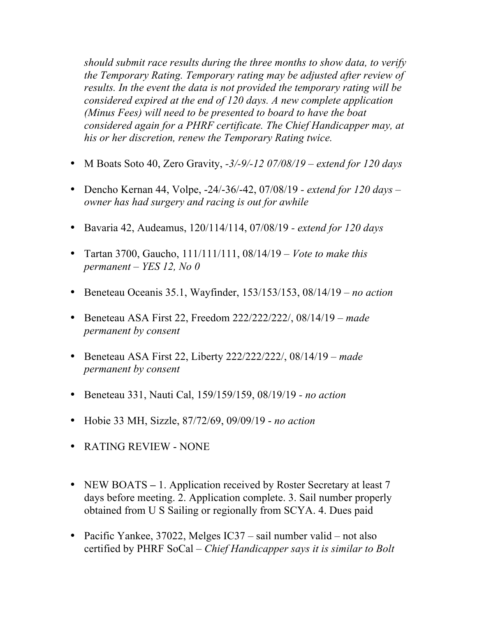*should submit race results during the three months to show data, to verify the Temporary Rating. Temporary rating may be adjusted after review of results. In the event the data is not provided the temporary rating will be considered expired at the end of 120 days. A new complete application (Minus Fees) will need to be presented to board to have the boat considered again for a PHRF certificate. The Chief Handicapper may, at his or her discretion, renew the Temporary Rating twice.*

- M Boats Soto 40, Zero Gravity, *-3/-9/-12 07/08/19 – extend for 120 days*
- Dencho Kernan 44, Volpe, -24/-36/-42, 07/08/19 *- extend for 120 days – owner has had surgery and racing is out for awhile*
- Bavaria 42, Audeamus, 120/114/114, 07/08/19 *- extend for 120 days*
- Tartan 3700, Gaucho, 111/111/111, 08/14/19 *– Vote to make this permanent – YES 12, No 0*
- Beneteau Oceanis 35.1, Wayfinder, 153/153/153, 08/14/19 *no action*
- Beneteau ASA First 22, Freedom 222/222/222/, 08/14/19 *– made permanent by consent*
- Beneteau ASA First 22, Liberty 222/222/222/, 08/14/19 *– made permanent by consent*
- Beneteau 331, Nauti Cal, 159/159/159, 08/19/19 *- no action*
- Hobie 33 MH, Sizzle, 87/72/69, 09/09/19 *no action*
- RATING REVIEW NONE
- NEW BOATS 1. Application received by Roster Secretary at least 7 days before meeting. 2. Application complete. 3. Sail number properly obtained from U S Sailing or regionally from SCYA. 4. Dues paid
- Pacific Yankee, 37022, Melges IC37 sail number valid not also certified by PHRF SoCal – *Chief Handicapper says it is similar to Bolt*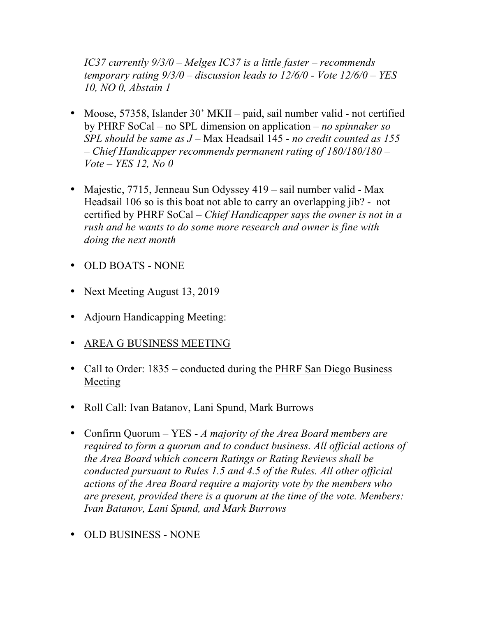*IC37 currently 9/3/0 – Melges IC37 is a little faster – recommends temporary rating 9/3/0 – discussion leads to 12/6/0 - Vote 12/6/0 – YES 10, NO 0, Abstain 1*

- Moose, 57358, Islander 30' MKII paid, sail number valid not certified by PHRF SoCal – no SPL dimension on application – *no spinnaker so SPL should be same as J* – Max Headsail 145 - *no credit counted as 155*  – *Chief Handicapper recommends permanent rating of 180/180/180 – Vote – YES 12, No 0*
- Majestic, 7715, Jenneau Sun Odyssey 419 sail number valid Max Headsail 106 so is this boat not able to carry an overlapping jib? - not certified by PHRF SoCal – *Chief Handicapper says the owner is not in a rush and he wants to do some more research and owner is fine with doing the next month*
- OLD BOATS NONE
- Next Meeting August 13, 2019
- Adjourn Handicapping Meeting:
- AREA G BUSINESS MEETING
- Call to Order: 1835 conducted during the PHRF San Diego Business Meeting
- Roll Call: Ivan Batanov, Lani Spund, Mark Burrows
- Confirm Quorum YES *A majority of the Area Board members are required to form a quorum and to conduct business. All official actions of the Area Board which concern Ratings or Rating Reviews shall be conducted pursuant to Rules 1.5 and 4.5 of the Rules. All other official actions of the Area Board require a majority vote by the members who are present, provided there is a quorum at the time of the vote. Members: Ivan Batanov, Lani Spund, and Mark Burrows*
- OLD BUSINESS NONE